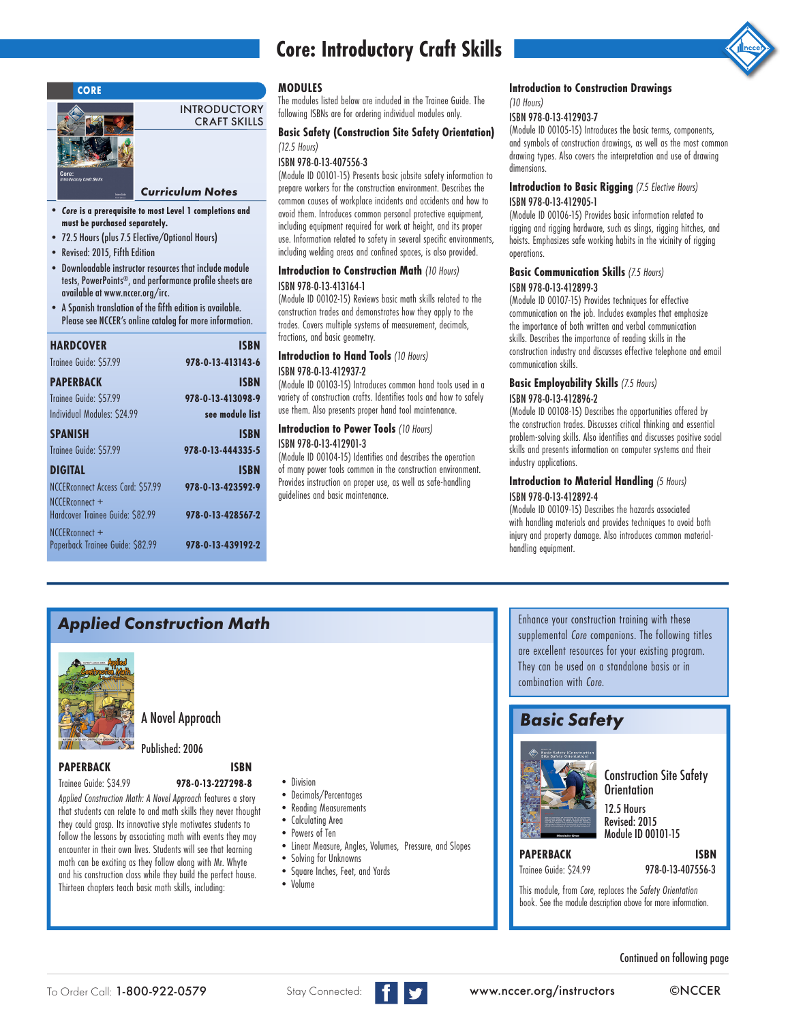

#### *Curriculum Notes*

INTRODUCTORY CRAFT SKILLS

- *Core* **is a prerequisite to most Level 1 completions and must be purchased separately.**
- 72.5 Hours (plus 7.5 Elective/Optional Hours)
- Revised: 2015, Fifth Edition
- Downloadable instructor resources that include module tests, PowerPoints®, and performance profle sheets are available at www.nccer.org/irc.
- A Spanish translation of the ffth edition is available. Please see NCCER's online catalog for more information.

| <b>HARDCOVER</b>                  | <b>ISBN</b>       |
|-----------------------------------|-------------------|
| Trainee Guide: \$57.99            | 978-0-13-413143-6 |
| <b>PAPERBACK</b>                  | <b>ISBN</b>       |
| Trainee Guide: \$57.99            | 978-0-13-413098-9 |
| Individual Modules: \$24.99       | see module list   |
| <b>SPANISH</b>                    | <b>ISBN</b>       |
| Trainee Guide: \$57.99            | 978-0-13-444335-5 |
| <b>DIGITAL</b>                    | <b>ISBN</b>       |
| NCCERconnect Access Card: \$57.99 | 978-0-13-423592-9 |
| NCCERconnect +                    |                   |
| Hardcover Trainee Guide: \$82.99  | 978-0-13-428567-2 |
| NCCFRconnect +                    |                   |
| Paperback Trainee Guide: \$82.99  | 978-0-13-439192-2 |

# **Core: Introductory Craft Skills**



#### **MODULES**

The modules listed below are included in the Trainee Guide. The following ISBNs are for ordering individual modules only.

### **Basic Safety (Construction Site Safety Orientation)**  *(12.5 Hours)*

#### ISBN 978-0-13-407556-3

(Module ID 00101-15) Presents basic jobsite safety information to prepare workers for the construction environment. Describes the common causes of workplace incidents and accidents and how to avoid them. Introduces common personal protective equipment, including equipment required for work at height, and its proper use. Information related to safety in several specific environments, including welding areas and confined spaces, is also provided.

#### **Introduction to Construction Math** *(10 Hours)* ISBN 978-0-13-413164-1

(Module ID 00102-15) Reviews basic math skills related to the construction trades and demonstrates how they apply to the trades. Covers multiple systems of measurement, decimals, fractions, and basic geometry.

#### **Introduction to Hand Tools** *(10 Hours)* ISBN 978-0-13-412937-2

(Module ID 00103-15) Introduces common hand tools used in a variety of construction crafts. Identifies tools and how to safely use them. Also presents proper hand tool maintenance.

#### **Introduction to Power Tools** *(10 Hours)*

#### ISBN 978-0-13-412901-3

(Module ID 00104-15) Identifies and describes the operation of many power tools common in the construction environment. Provides instruction on proper use, as well as safe-handling guidelines and basic maintenance.

#### **Introduction Drawings ACONS Introduction to Construction Drawings Introduction to Construction Drawings**

#### *(10 Hours)*

#### ISBN 978-0-13-412903-7

(Module ID 00105-15) Introduces the basic terms, components, and symbols of construction drawings, as well as the most common drawing types. Also covers the interpretation and use of drawing dimensions.

#### **Introduction to Basic Rigging** *(7.5 Elective Hours)* ISBN 978-0-13-412905-1

(Module ID 00106-15) Provides basic information related to rigging and rigging hardware, such as slings, rigging hitches, and hoists. Emphasizes safe working habits in the vicinity of rigging operations.

#### **Basic Communication Skills** *(7.5 Hours)* ISBN 978-0-13-412899-3

(Module ID 00107-15) Provides techniques for effective communication on the job. Includes examples that emphasize the importance of both written and verbal communication skills. Describes the importance of reading skills in the construction industry and discusses effective telephone and email communication skills.

#### **Basic Employability Skills** *(7.5 Hours)* ISBN 978-0-13-412896-2

(Module ID 00108-15) Describes the opportunities offered by the construction trades. Discusses critical thinking and essential problem-solving skills. Also identifies and discusses positive social skills and presents information on computer systems and their industry applications.

#### **Introduction to Material Handling** *(5 Hours)* ISBN 978-0-13-412892-4

(Module ID 00109-15) Describes the hazards associated with handling materials and provides techniques to avoid both injury and property damage. Also introduces common materialhandling equipment.

### *Applied Construction Math*



A Novel Approach

#### Published: 2006

### **PAPERBACK ISBN**

- Trainee Guide: \$34.99 **978-0-13-227298-8**
- *Applied Construction Math: A Novel Approach* features a story that students can relate to and math skills they never thought they could grasp. Its innovative style motivates students to follow the lessons by associating math with events they may encounter in their own lives. Students will see that learning math can be exciting as they follow along with Mr. Whyte and his construction class while they build the perfect house. Thirteen chapters teach basic math skills, including:
- •Division
- •Decimals/Percentages
- Reading Measurements
- •Calculating Area
- •Powers of Ten
- Linear Measure, Angles, Volumes, Pressure, and Slopes
- •Solving for Unknowns
- Square Inches, Feet, and Yards
- •Volume

Enhance your construction training with these supplemental *Core* companions. The following titles are excellent resources for your existing program. They can be used on a standalone basis or in combination with *Core.*

## *Basic Safety*



Construction Site Safety **Orientation** 

12.5 Hours Revised: 2015 Module ID 00101-15

# **PAPERBACK ISBN**

# Trainee Guide: \$24.99 978-0-13-407556-3

This module, from *Core*, replaces the *Safety Orientation* book. See the module description above for more information.

Continued on following page